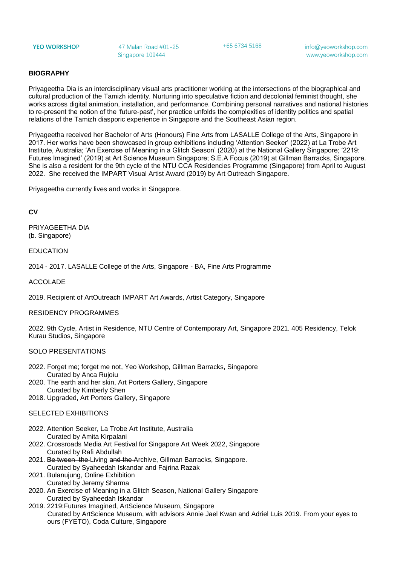**YEO WORKSHOP** 47 Malan Road #01-25 Singapore 109444

+65 6734 5168 info@yeoworkshop.com www.yeoworkshop.com

# **BIOGRAPHY**

Priyageetha Dia is an interdisciplinary visual arts practitioner working at the intersections of the biographical and cultural production of the Tamizh identity. Nurturing into speculative fiction and decolonial feminist thought, she works across digital animation, installation, and performance. Combining personal narratives and national histories to re-present the notion of the 'future-past', her practice unfolds the complexities of identity politics and spatial relations of the Tamizh diasporic experience in Singapore and the Southeast Asian region.

Priyageetha received her Bachelor of Arts (Honours) Fine Arts from LASALLE College of the Arts, Singapore in 2017. Her works have been showcased in group exhibitions including 'Attention Seeker' (2022) at La Trobe Art Institute, Australia; 'An Exercise of Meaning in a Glitch Season' (2020) at the National Gallery Singapore; '2219: Futures Imagined' (2019) at Art Science Museum Singapore; S.E.A Focus (2019) at Gillman Barracks, Singapore. She is also a resident for the 9th cycle of the NTU CCA Residencies Programme (Singapore) from April to August 2022. She received the IMPART Visual Artist Award (2019) by Art Outreach Singapore.

Priyageetha currently lives and works in Singapore.

## **CV**

PRIYAGEETHA DIA (b. Singapore)

EDUCATION

2014 - 2017. LASALLE College of the Arts, Singapore - BA, Fine Arts Programme

ACCOLADE

2019. Recipient of ArtOutreach IMPART Art Awards, Artist Category, Singapore

#### RESIDENCY PROGRAMMES

2022. 9th Cycle, Artist in Residence, NTU Centre of Contemporary Art, Singapore 2021. 405 Residency, Telok Kurau Studios, Singapore

### SOLO PRESENTATIONS

- 2022. Forget me; forget me not, Yeo Workshop, Gillman Barracks, Singapore Curated by Anca Rujoiu
- 2020. The earth and her skin, Art Porters Gallery, Singapore Curated by Kimberly Shen
- 2018. Upgraded, Art Porters Gallery, Singapore

### SELECTED EXHIBITIONS

- 2022. Attention Seeker, La Trobe Art Institute, Australia Curated by Amita Kirpalani
- 2022. Crossroads Media Art Festival for Singapore Art Week 2022, Singapore Curated by Rafi Abdullah
- 2021. Be tween the Living and the Archive, Gillman Barracks, Singapore. Curated by Syaheedah Iskandar and Fajrina Razak
- 2021. Bulanujung, Online Exhibition Curated by Jeremy Sharma
- 2020. An Exercise of Meaning in a Glitch Season, National Gallery Singapore Curated by Syaheedah Iskandar
- 2019. 2219:Futures Imagined, ArtScience Museum, Singapore Curated by ArtScience Museum, with advisors Annie Jael Kwan and Adriel Luis 2019. From your eyes to ours (FYETO), Coda Culture, Singapore